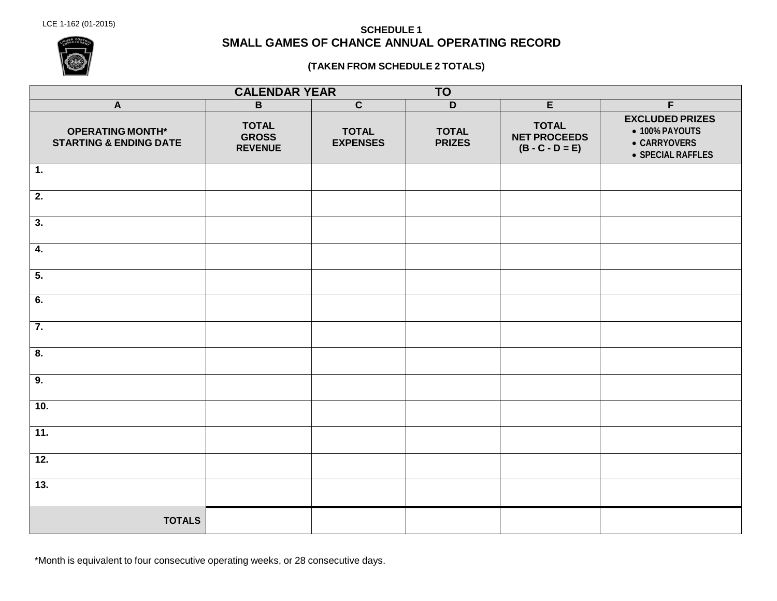# LCE 1-162 (01-2015) **SCHEDULE <sup>1</sup> SMALL GAMES OF CHANCE ANNUAL OPERATING RECORD**

#### **(TAKEN FROM SCHEDULE 2 TOTALS)**

| <b>CALENDAR YEAR</b><br><b>TO</b>                            |                                                |                                 |                               |                                                          |                                                                               |  |  |  |
|--------------------------------------------------------------|------------------------------------------------|---------------------------------|-------------------------------|----------------------------------------------------------|-------------------------------------------------------------------------------|--|--|--|
| $\overline{A}$                                               | $\overline{B}$                                 | $\overline{c}$                  | $\overline{D}$                | E                                                        | $\overline{F}$                                                                |  |  |  |
| <b>OPERATING MONTH*</b><br><b>STARTING &amp; ENDING DATE</b> | <b>TOTAL</b><br><b>GROSS</b><br><b>REVENUE</b> | <b>TOTAL</b><br><b>EXPENSES</b> | <b>TOTAL</b><br><b>PRIZES</b> | <b>TOTAL</b><br><b>NET PROCEEDS</b><br>$(B - C - D = E)$ | <b>EXCLUDED PRIZES</b><br>• 100% PAYOUTS<br>• CARRYOVERS<br>• SPECIAL RAFFLES |  |  |  |
| $\overline{1}$ .                                             |                                                |                                 |                               |                                                          |                                                                               |  |  |  |
| $\overline{2}$ .                                             |                                                |                                 |                               |                                                          |                                                                               |  |  |  |
| $\overline{\mathbf{3}}$ .                                    |                                                |                                 |                               |                                                          |                                                                               |  |  |  |
| $\overline{4}$ .                                             |                                                |                                 |                               |                                                          |                                                                               |  |  |  |
| $\overline{5}$ .                                             |                                                |                                 |                               |                                                          |                                                                               |  |  |  |
| 6.                                                           |                                                |                                 |                               |                                                          |                                                                               |  |  |  |
| 7.                                                           |                                                |                                 |                               |                                                          |                                                                               |  |  |  |
| 8.                                                           |                                                |                                 |                               |                                                          |                                                                               |  |  |  |
| 9.                                                           |                                                |                                 |                               |                                                          |                                                                               |  |  |  |
| 10.                                                          |                                                |                                 |                               |                                                          |                                                                               |  |  |  |
| $\overline{11}$ .                                            |                                                |                                 |                               |                                                          |                                                                               |  |  |  |
| 12.                                                          |                                                |                                 |                               |                                                          |                                                                               |  |  |  |
| 13.                                                          |                                                |                                 |                               |                                                          |                                                                               |  |  |  |
| <b>TOTALS</b>                                                |                                                |                                 |                               |                                                          |                                                                               |  |  |  |

\*Month is equivalent to four consecutive operating weeks, or 28 consecutive days.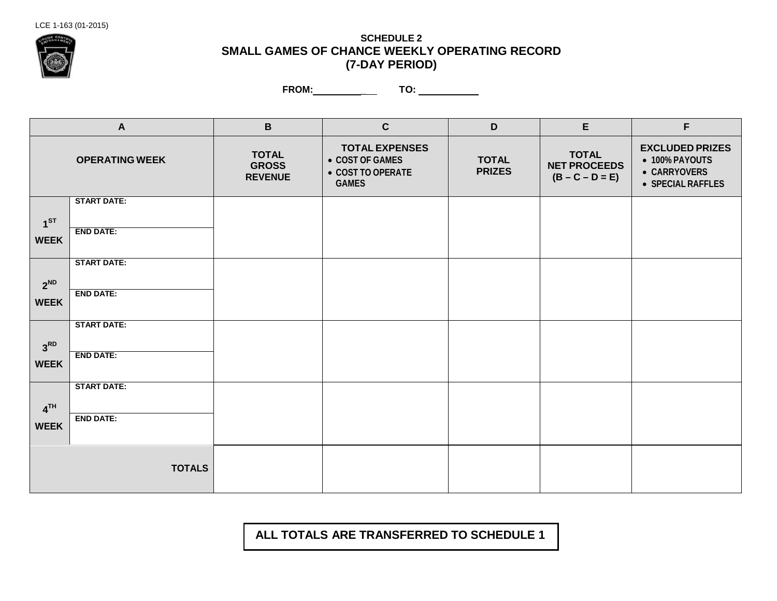

## **SCHEDULE 2 SMALL GAMES OF CHANCE WEEKLY OPERATING RECORD (7-DAY PERIOD)**

**FROM:** \_ **TO:** 

|                                | $\mathbf{A}$                           | $\mathbf B$                                    | $\mathbf{C}$                                                                  | D                             | E                                                        | F                                                                             |
|--------------------------------|----------------------------------------|------------------------------------------------|-------------------------------------------------------------------------------|-------------------------------|----------------------------------------------------------|-------------------------------------------------------------------------------|
|                                | <b>OPERATING WEEK</b>                  | <b>TOTAL</b><br><b>GROSS</b><br><b>REVENUE</b> | <b>TOTAL EXPENSES</b><br>• COST OF GAMES<br>● COST TO OPERATE<br><b>GAMES</b> | <b>TOTAL</b><br><b>PRIZES</b> | <b>TOTAL</b><br><b>NET PROCEEDS</b><br>$(B - C - D = E)$ | <b>EXCLUDED PRIZES</b><br>• 100% PAYOUTS<br>• CARRYOVERS<br>• SPECIAL RAFFLES |
| 1 <sup>ST</sup><br><b>WEEK</b> | <b>START DATE:</b><br><b>END DATE:</b> |                                                |                                                                               |                               |                                                          |                                                                               |
| $2^{ND}$<br><b>WEEK</b>        | <b>START DATE:</b><br><b>END DATE:</b> |                                                |                                                                               |                               |                                                          |                                                                               |
| 3 <sup>RD</sup><br><b>WEEK</b> | <b>START DATE:</b><br><b>END DATE:</b> |                                                |                                                                               |                               |                                                          |                                                                               |
| 4 <sup>TH</sup><br><b>WEEK</b> | <b>START DATE:</b><br><b>END DATE:</b> |                                                |                                                                               |                               |                                                          |                                                                               |
|                                | <b>TOTALS</b>                          |                                                |                                                                               |                               |                                                          |                                                                               |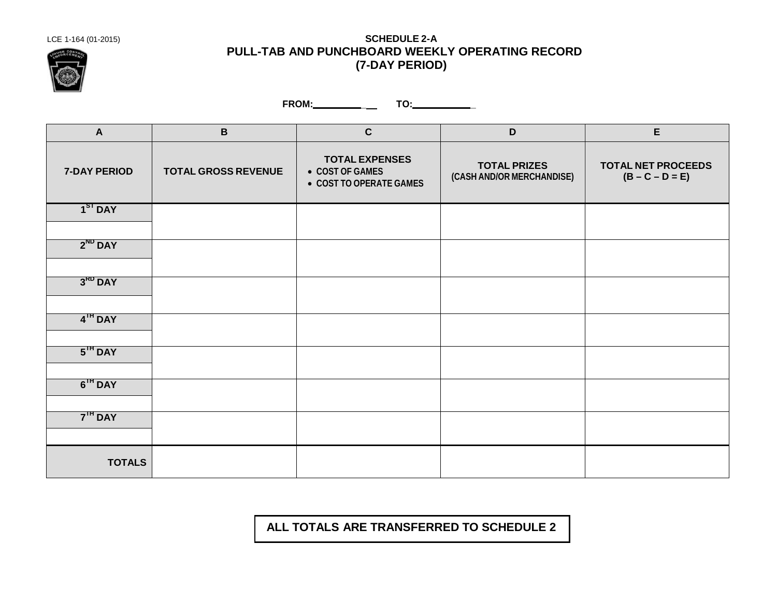

## LCE 1-164 (01-2015) **SCHEDULE 2-A PULL-TAB AND PUNCHBOARD WEEKLY OPERATING RECORD (7-DAY PERIOD)**

**FROM: \_ TO: \_**

| $\mathsf{A}$        | $\, {\bf B}$               | $\mathbf c$                                                         | $\mathsf D$                                      | $\mathsf E$                                    |
|---------------------|----------------------------|---------------------------------------------------------------------|--------------------------------------------------|------------------------------------------------|
| <b>7-DAY PERIOD</b> | <b>TOTAL GROSS REVENUE</b> | <b>TOTAL EXPENSES</b><br>• COST OF GAMES<br>• COST TO OPERATE GAMES | <b>TOTAL PRIZES</b><br>(CASH AND/OR MERCHANDISE) | <b>TOTAL NET PROCEEDS</b><br>$(B - C - D = E)$ |
| $1ST$ DAY           |                            |                                                                     |                                                  |                                                |
| $2^{ND}$ DAY        |                            |                                                                     |                                                  |                                                |
| $3RD$ DAY           |                            |                                                                     |                                                  |                                                |
| $4th$ DAY           |                            |                                                                     |                                                  |                                                |
| $5TH$ DAY           |                            |                                                                     |                                                  |                                                |
| $6IH$ DAY           |                            |                                                                     |                                                  |                                                |
| 7 <sup>IH</sup> DAY |                            |                                                                     |                                                  |                                                |
| <b>TOTALS</b>       |                            |                                                                     |                                                  |                                                |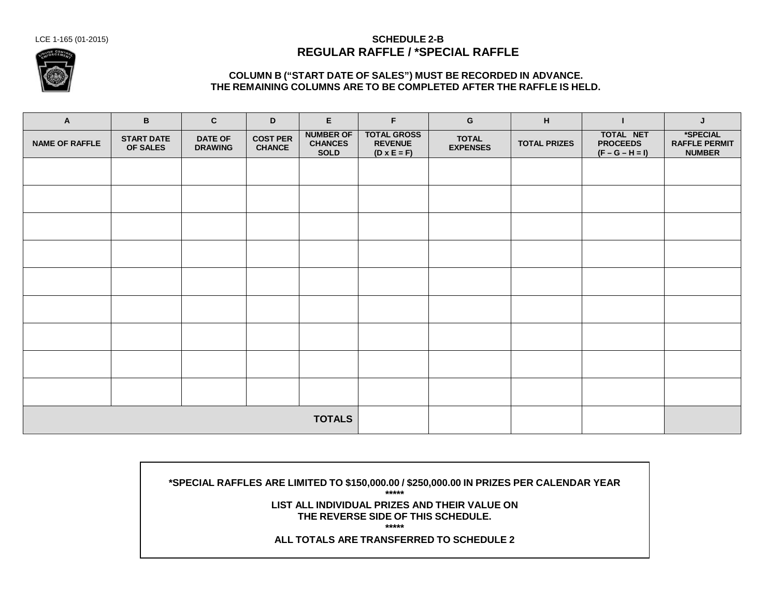

#### LCE 1-165 (01-2015) **SCHEDULE 2-B REGULAR RAFFLE / \*SPECIAL RAFFLE**

#### **COLUMN B ("START DATE OF SALES") MUST BE RECORDED IN ADVANCE. THE REMAINING COLUMNS ARE TO BE COMPLETED AFTER THE RAFFLE IS HELD.**

| $\mathbf{A}$          | B                             | $\mathbf{C}$                     | D                                | E.                                                | F.                                                         | G                               | H                   | ш                                                 | J                                                 |
|-----------------------|-------------------------------|----------------------------------|----------------------------------|---------------------------------------------------|------------------------------------------------------------|---------------------------------|---------------------|---------------------------------------------------|---------------------------------------------------|
| <b>NAME OF RAFFLE</b> | <b>START DATE</b><br>OF SALES | <b>DATE OF</b><br><b>DRAWING</b> | <b>COST PER</b><br><b>CHANCE</b> | <b>NUMBER OF</b><br><b>CHANCES</b><br><b>SOLD</b> | <b>TOTAL GROSS</b><br><b>REVENUE</b><br>$(D \times E = F)$ | <b>TOTAL</b><br><b>EXPENSES</b> | <b>TOTAL PRIZES</b> | TOTAL NET<br><b>PROCEEDS</b><br>$(F - G - H = I)$ | *SPECIAL<br><b>RAFFLE PERMIT</b><br><b>NUMBER</b> |
|                       |                               |                                  |                                  |                                                   |                                                            |                                 |                     |                                                   |                                                   |
|                       |                               |                                  |                                  |                                                   |                                                            |                                 |                     |                                                   |                                                   |
|                       |                               |                                  |                                  |                                                   |                                                            |                                 |                     |                                                   |                                                   |
|                       |                               |                                  |                                  |                                                   |                                                            |                                 |                     |                                                   |                                                   |
|                       |                               |                                  |                                  |                                                   |                                                            |                                 |                     |                                                   |                                                   |
|                       |                               |                                  |                                  |                                                   |                                                            |                                 |                     |                                                   |                                                   |
|                       |                               |                                  |                                  |                                                   |                                                            |                                 |                     |                                                   |                                                   |
|                       |                               |                                  |                                  |                                                   |                                                            |                                 |                     |                                                   |                                                   |
|                       |                               |                                  |                                  |                                                   |                                                            |                                 |                     |                                                   |                                                   |
|                       |                               |                                  |                                  | <b>TOTALS</b>                                     |                                                            |                                 |                     |                                                   |                                                   |

**\*SPECIAL RAFFLES ARE LIMITED TO \$150,000.00 / \$250,000.00 IN PRIZES PER CALENDAR YEAR \*\*\*\*\* LIST ALL INDIVIDUAL PRIZES AND THEIR VALUE ON THE REVERSE SIDE OF THIS SCHEDULE. \*\*\*\*\* ALL TOTALS ARE TRANSFERRED TO SCHEDULE 2**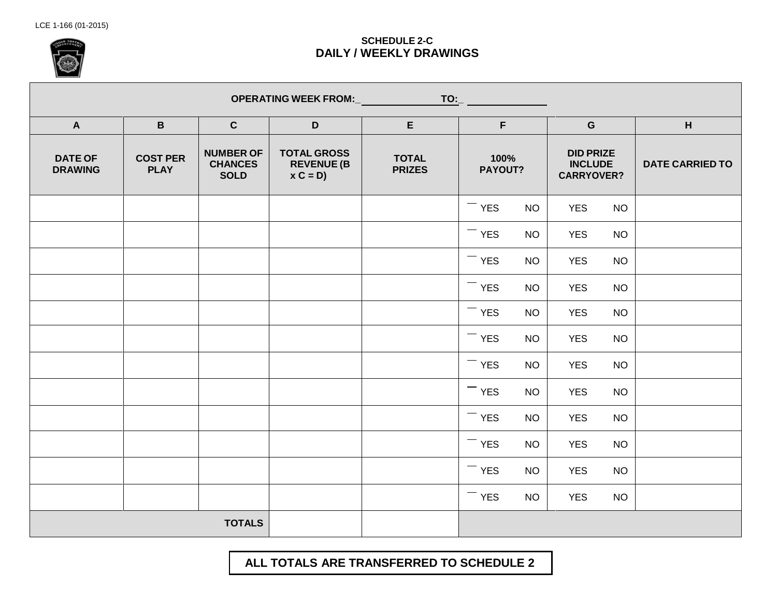

## **SCHEDULE 2-C DAILY / WEEKLY DRAWINGS**

|                                  |                                |                                                   | <b>OPERATING WEEK FROM:_</b>                         |                               | $TO:$ ___       |           |            |           |   |  |                                                         |  |                        |
|----------------------------------|--------------------------------|---------------------------------------------------|------------------------------------------------------|-------------------------------|-----------------|-----------|------------|-----------|---|--|---------------------------------------------------------|--|------------------------|
| $\mathbf{A}$                     | $\mathbf{B}$                   | $\mathbf{C}$                                      | $\mathsf D$                                          | E                             | F               |           | ${\bf G}$  |           | H |  |                                                         |  |                        |
| <b>DATE OF</b><br><b>DRAWING</b> | <b>COST PER</b><br><b>PLAY</b> | <b>NUMBER OF</b><br><b>CHANCES</b><br><b>SOLD</b> | <b>TOTAL GROSS</b><br><b>REVENUE (B</b><br>$x C = D$ | <b>TOTAL</b><br><b>PRIZES</b> | 100%<br>PAYOUT? |           |            |           |   |  | <b>DID PRIZE</b><br><b>INCLUDE</b><br><b>CARRYOVER?</b> |  | <b>DATE CARRIED TO</b> |
|                                  |                                |                                                   |                                                      |                               | $-$ YES         | <b>NO</b> | <b>YES</b> | <b>NO</b> |   |  |                                                         |  |                        |
|                                  |                                |                                                   |                                                      |                               | $-$ YES         | <b>NO</b> | <b>YES</b> | <b>NO</b> |   |  |                                                         |  |                        |
|                                  |                                |                                                   |                                                      |                               | $-$ YES         | <b>NO</b> | <b>YES</b> | <b>NO</b> |   |  |                                                         |  |                        |
|                                  |                                |                                                   |                                                      |                               | $-$ YES         | <b>NO</b> | <b>YES</b> | <b>NO</b> |   |  |                                                         |  |                        |
|                                  |                                |                                                   |                                                      |                               | $-$ YES         | <b>NO</b> | <b>YES</b> | <b>NO</b> |   |  |                                                         |  |                        |
|                                  |                                |                                                   |                                                      |                               | $-$ YES         | <b>NO</b> | <b>YES</b> | <b>NO</b> |   |  |                                                         |  |                        |
|                                  |                                |                                                   |                                                      |                               | $-$ YES         | <b>NO</b> | <b>YES</b> | <b>NO</b> |   |  |                                                         |  |                        |
|                                  |                                |                                                   |                                                      |                               | $-$ YES         | <b>NO</b> | <b>YES</b> | <b>NO</b> |   |  |                                                         |  |                        |
|                                  |                                |                                                   |                                                      |                               | $-$ YES         | <b>NO</b> | <b>YES</b> | <b>NO</b> |   |  |                                                         |  |                        |
|                                  |                                |                                                   |                                                      |                               | $-$ YES         | <b>NO</b> | <b>YES</b> | <b>NO</b> |   |  |                                                         |  |                        |
|                                  |                                |                                                   |                                                      |                               | $-$ YES         | <b>NO</b> | <b>YES</b> | <b>NO</b> |   |  |                                                         |  |                        |
|                                  |                                |                                                   |                                                      |                               | $-$ YES         | <b>NO</b> | <b>YES</b> | <b>NO</b> |   |  |                                                         |  |                        |
|                                  |                                | <b>TOTALS</b>                                     |                                                      |                               |                 |           |            |           |   |  |                                                         |  |                        |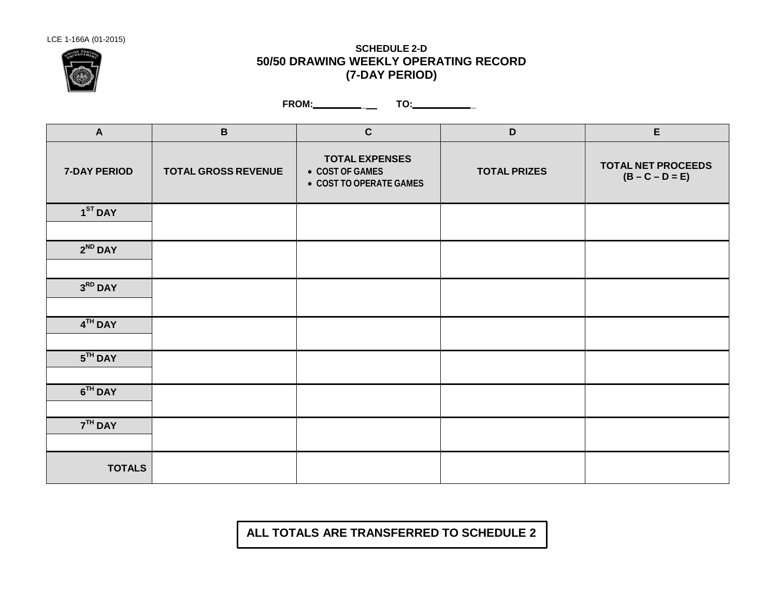

### **SCHEDULE 2-D 50/50 DRAWING WEEKLY OPERATING RECORD (7-DAY PERIOD)**

**FROM: \_ TO: \_**

| $\mathbf{A}$  | $\, {\bf B}$               | $\mathbf{C}$                                                        | $\mathbf D$         | E                                              |
|---------------|----------------------------|---------------------------------------------------------------------|---------------------|------------------------------------------------|
| 7-DAY PERIOD  | <b>TOTAL GROSS REVENUE</b> | <b>TOTAL EXPENSES</b><br>• COST OF GAMES<br>• COST TO OPERATE GAMES | <b>TOTAL PRIZES</b> | <b>TOTAL NET PROCEEDS</b><br>$(B - C - D = E)$ |
| $1ST$ DAY     |                            |                                                                     |                     |                                                |
|               |                            |                                                                     |                     |                                                |
| $2^{ND}$ DAY  |                            |                                                                     |                     |                                                |
|               |                            |                                                                     |                     |                                                |
| $3RD$ DAY     |                            |                                                                     |                     |                                                |
|               |                            |                                                                     |                     |                                                |
| $4TH$ DAY     |                            |                                                                     |                     |                                                |
| $5TH$ DAY     |                            |                                                                     |                     |                                                |
|               |                            |                                                                     |                     |                                                |
| $6TH$ DAY     |                            |                                                                     |                     |                                                |
| $7TH$ DAY     |                            |                                                                     |                     |                                                |
|               |                            |                                                                     |                     |                                                |
| <b>TOTALS</b> |                            |                                                                     |                     |                                                |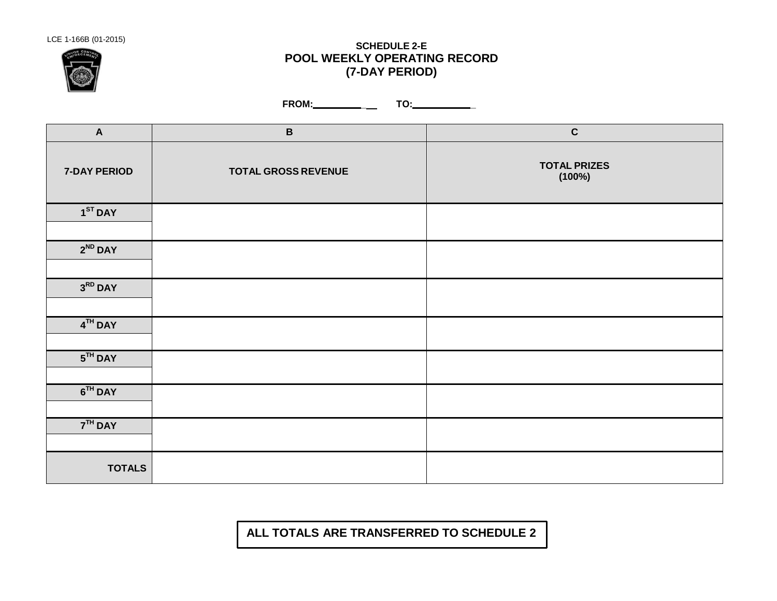

# LCE 1-166B (01-2015) **SCHEDULE 2-E POOL WEEKLY OPERATING RECORD (7-DAY PERIOD)**

**FROM: \_ TO: \_**

| $\boldsymbol{\mathsf{A}}$ | $\, {\bf B}$               | $\mathbf C$                   |
|---------------------------|----------------------------|-------------------------------|
| 7-DAY PERIOD              | <b>TOTAL GROSS REVENUE</b> | <b>TOTAL PRIZES</b><br>(100%) |
| $1ST$ DAY                 |                            |                               |
| $2^{ND}$ DAY              |                            |                               |
| $3RD$ DAY                 |                            |                               |
| $4TH$ DAY                 |                            |                               |
| $5TH$ DAY                 |                            |                               |
| $6TH$ DAY                 |                            |                               |
| $7TH$ DAY                 |                            |                               |
| <b>TOTALS</b>             |                            |                               |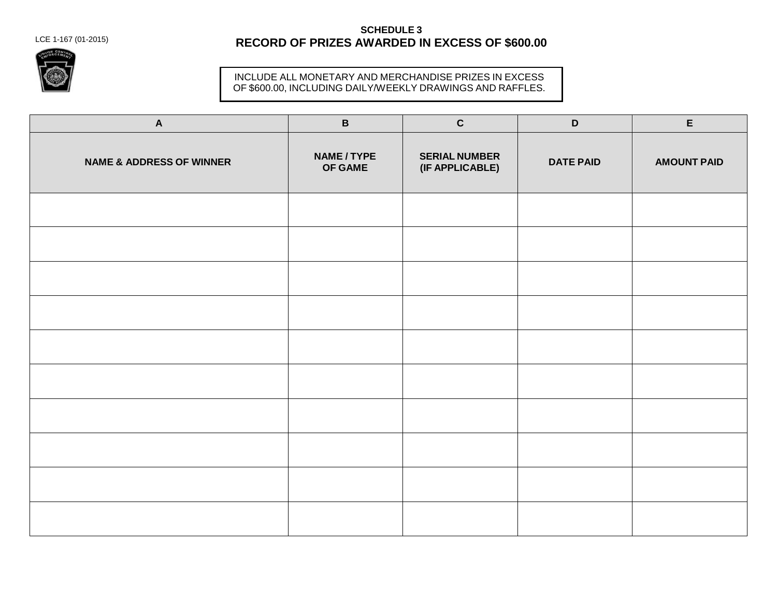LCE 1-167 (01-2015)

## **SCHEDULE 3 RECORD OF PRIZES AWARDED IN EXCESS OF \$600.00**



#### INCLUDE ALL MONETARY AND MERCHANDISE PRIZES IN EXCESS OF \$600.00, INCLUDING DAILY/WEEKLY DRAWINGS AND RAFFLES.

| $\mathbf{A}$                        | $\, {\bf B} \,$      | $\mathbf{C}$                            | $\mathsf D$      | $\mathsf E$        |
|-------------------------------------|----------------------|-----------------------------------------|------------------|--------------------|
| <b>NAME &amp; ADDRESS OF WINNER</b> | NAME/TYPE<br>OF GAME | <b>SERIAL NUMBER</b><br>(IF APPLICABLE) | <b>DATE PAID</b> | <b>AMOUNT PAID</b> |
|                                     |                      |                                         |                  |                    |
|                                     |                      |                                         |                  |                    |
|                                     |                      |                                         |                  |                    |
|                                     |                      |                                         |                  |                    |
|                                     |                      |                                         |                  |                    |
|                                     |                      |                                         |                  |                    |
|                                     |                      |                                         |                  |                    |
|                                     |                      |                                         |                  |                    |
|                                     |                      |                                         |                  |                    |
|                                     |                      |                                         |                  |                    |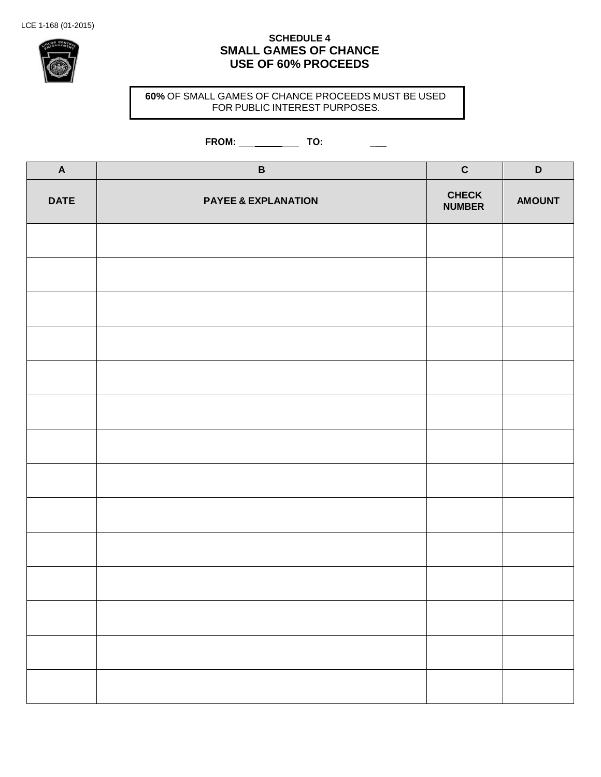

## **SCHEDULE 4 SMALL GAMES OF CHANCE USE OF 60% PROCEEDS**

**60%** OF SMALL GAMES OF CHANCE PROCEEDS MUST BE USED FOR PUBLIC INTEREST PURPOSES.

## **FROM: TO:** \_

| $\boldsymbol{\mathsf{A}}$ | $\, {\bf B}$                   | $\mathbf C$                   | $\mathsf D$   |
|---------------------------|--------------------------------|-------------------------------|---------------|
| <b>DATE</b>               | <b>PAYEE &amp; EXPLANATION</b> | <b>CHECK</b><br><b>NUMBER</b> | <b>AMOUNT</b> |
|                           |                                |                               |               |
|                           |                                |                               |               |
|                           |                                |                               |               |
|                           |                                |                               |               |
|                           |                                |                               |               |
|                           |                                |                               |               |
|                           |                                |                               |               |
|                           |                                |                               |               |
|                           |                                |                               |               |
|                           |                                |                               |               |
|                           |                                |                               |               |
|                           |                                |                               |               |
|                           |                                |                               |               |
|                           |                                |                               |               |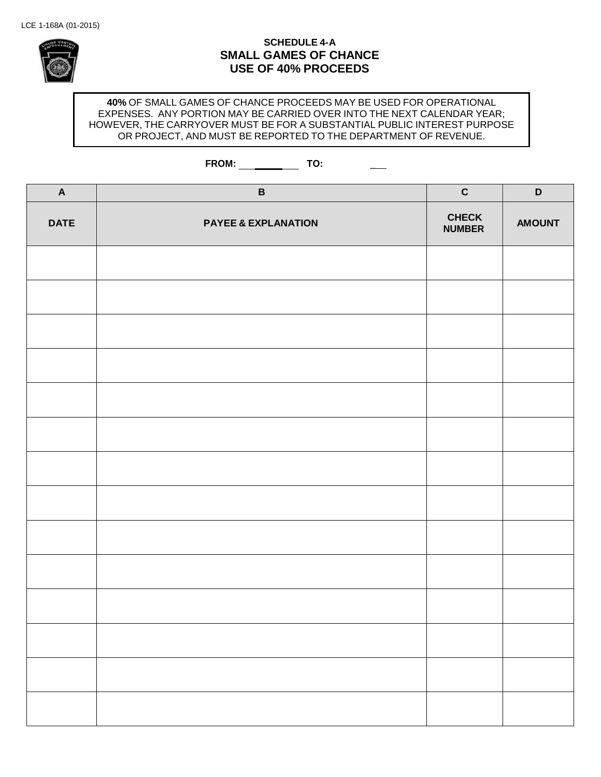

#### **SCHEDULE 4-A SMALL GAMES OF CHANCE USE OF 40% PROCEEDS**

**40%** OF SMALL GAMES OF CHANCE PROCEEDS MAY BE USED FOR OPERATIONAL EXPENSES. ANY PORTION MAY BE CARRIED OVER INTO THE NEXT CALENDAR YEAR; HOWEVER, THE CARRYOVER MUST BE FOR A SUBSTANTIAL PUBLIC INTEREST PURPOSE OR PROJECT, AND MUST BE REPORTED TO THE DEPARTMENT OF REVENUE.

# **FROM: TO:** \_

| $\boldsymbol{\mathsf{A}}$ | $\, {\bf B}$                   | $\mathbf C$                   | $\mathsf D$   |
|---------------------------|--------------------------------|-------------------------------|---------------|
| <b>DATE</b>               | <b>PAYEE &amp; EXPLANATION</b> | <b>CHECK</b><br><b>NUMBER</b> | <b>AMOUNT</b> |
|                           |                                |                               |               |
|                           |                                |                               |               |
|                           |                                |                               |               |
|                           |                                |                               |               |
|                           |                                |                               |               |
|                           |                                |                               |               |
|                           |                                |                               |               |
|                           |                                |                               |               |
|                           |                                |                               |               |
|                           |                                |                               |               |
|                           |                                |                               |               |
|                           |                                |                               |               |
|                           |                                |                               |               |
|                           |                                |                               |               |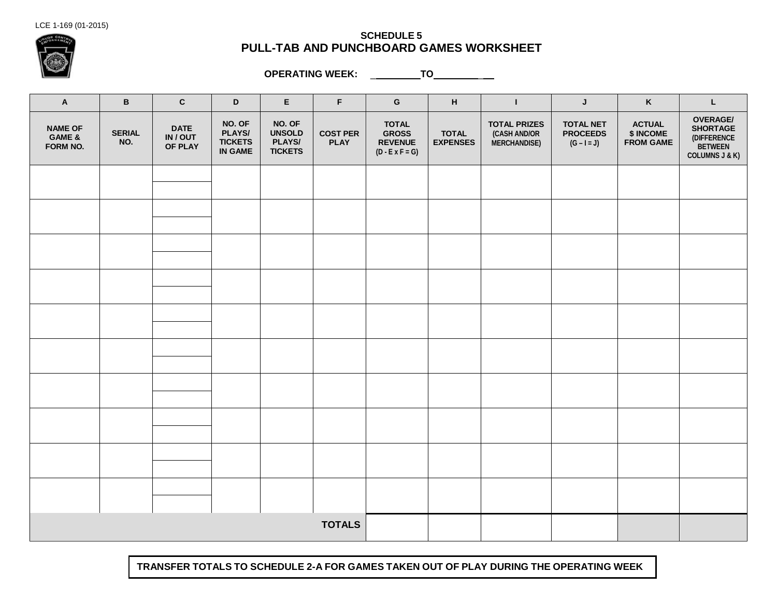LCE 1-169 (01-2015)



#### **SCHEDULE 5 PULL-TAB AND PUNCHBOARD GAMES WORKSHEET**

**OPERATING WEEK:** \_ **TO** \_

| $\boldsymbol{\mathsf{A}}$            | $\, {\bf B}$         | $\mathbf{C}$                       | $\mathbf D$                                          | $\mathsf E$                                         | $\mathsf F$                    | ${\mathbf G}$                                                            | н                               | $\mathbf{I}$                                               | J                                                    | $\boldsymbol{\mathsf{K}}$                      | L                                                                                         |
|--------------------------------------|----------------------|------------------------------------|------------------------------------------------------|-----------------------------------------------------|--------------------------------|--------------------------------------------------------------------------|---------------------------------|------------------------------------------------------------|------------------------------------------------------|------------------------------------------------|-------------------------------------------------------------------------------------------|
| <b>NAME OF</b><br>GAME &<br>FORM NO. | <b>SERIAL</b><br>NO. | <b>DATE</b><br>IN / OUT<br>OF PLAY | NO. OF<br>PLAYS/<br><b>TICKETS</b><br><b>IN GAME</b> | NO. OF<br><b>UNSOLD</b><br>PLAYS/<br><b>TICKETS</b> | <b>COST PER</b><br><b>PLAY</b> | <b>TOTAL</b><br><b>GROSS</b><br><b>REVENUE</b><br>$(D - E \times F = G)$ | <b>TOTAL</b><br><b>EXPENSES</b> | <b>TOTAL PRIZES</b><br>(CASH AND/OR<br><b>MERCHANDISE)</b> | <b>TOTAL NET</b><br><b>PROCEEDS</b><br>$(G - I = J)$ | <b>ACTUAL</b><br>\$ INCOME<br><b>FROM GAME</b> | <b>OVERAGE/</b><br><b>SHORTAGE</b><br>(DIFFERENCE<br>BETWEEN<br><b>COLUMNS J &amp; K)</b> |
|                                      |                      |                                    |                                                      |                                                     |                                |                                                                          |                                 |                                                            |                                                      |                                                |                                                                                           |
|                                      |                      |                                    |                                                      |                                                     |                                |                                                                          |                                 |                                                            |                                                      |                                                |                                                                                           |
|                                      |                      |                                    |                                                      |                                                     |                                |                                                                          |                                 |                                                            |                                                      |                                                |                                                                                           |
|                                      |                      |                                    |                                                      |                                                     |                                |                                                                          |                                 |                                                            |                                                      |                                                |                                                                                           |
|                                      |                      |                                    |                                                      |                                                     |                                |                                                                          |                                 |                                                            |                                                      |                                                |                                                                                           |
|                                      |                      |                                    |                                                      |                                                     |                                |                                                                          |                                 |                                                            |                                                      |                                                |                                                                                           |
|                                      |                      |                                    |                                                      |                                                     |                                |                                                                          |                                 |                                                            |                                                      |                                                |                                                                                           |
|                                      |                      |                                    |                                                      |                                                     |                                |                                                                          |                                 |                                                            |                                                      |                                                |                                                                                           |
|                                      |                      |                                    |                                                      |                                                     |                                |                                                                          |                                 |                                                            |                                                      |                                                |                                                                                           |
|                                      |                      |                                    |                                                      |                                                     |                                |                                                                          |                                 |                                                            |                                                      |                                                |                                                                                           |
|                                      |                      |                                    |                                                      |                                                     | <b>TOTALS</b>                  |                                                                          |                                 |                                                            |                                                      |                                                |                                                                                           |

**TRANSFER TOTALS TO SCHEDULE 2-A FOR GAMES TAKEN OUT OF PLAY DURING THE OPERATING WEEK**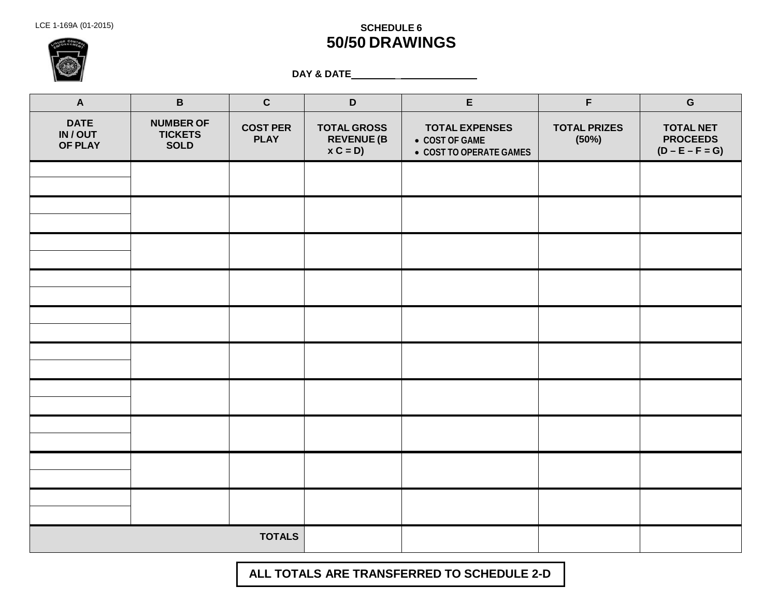# LCE 1-169A (01-2015) **SCHEDULE 6 50/50 DRAWINGS**

**DAY & DATE** \_

| $\boldsymbol{\mathsf{A}}$               | $\, {\bf B} \,$                                   | $\mathbf C$                    | $\mathsf D$                                  | $\mathsf E$                                                        | $\mathsf F$                  | ${\bf G}$                                                |
|-----------------------------------------|---------------------------------------------------|--------------------------------|----------------------------------------------|--------------------------------------------------------------------|------------------------------|----------------------------------------------------------|
| <b>DATE</b><br>IN/OUT<br><b>OF PLAY</b> | <b>NUMBER OF</b><br><b>TICKETS</b><br><b>SOLD</b> | <b>COST PER</b><br><b>PLAY</b> | <b>TOTAL GROSS</b><br>REVENUE (B<br>x C = D) | <b>TOTAL EXPENSES</b><br>• COST OF GAME<br>● COST TO OPERATE GAMES | <b>TOTAL PRIZES</b><br>(50%) | <b>TOTAL NET</b><br><b>PROCEEDS</b><br>$(D - E - F = G)$ |
|                                         |                                                   |                                |                                              |                                                                    |                              |                                                          |
|                                         |                                                   |                                |                                              |                                                                    |                              |                                                          |
|                                         |                                                   |                                |                                              |                                                                    |                              |                                                          |
|                                         |                                                   |                                |                                              |                                                                    |                              |                                                          |
|                                         |                                                   |                                |                                              |                                                                    |                              |                                                          |
|                                         |                                                   |                                |                                              |                                                                    |                              |                                                          |
|                                         |                                                   |                                |                                              |                                                                    |                              |                                                          |
|                                         |                                                   |                                |                                              |                                                                    |                              |                                                          |
|                                         |                                                   |                                |                                              |                                                                    |                              |                                                          |
|                                         |                                                   |                                |                                              |                                                                    |                              |                                                          |
|                                         |                                                   | <b>TOTALS</b>                  |                                              |                                                                    |                              |                                                          |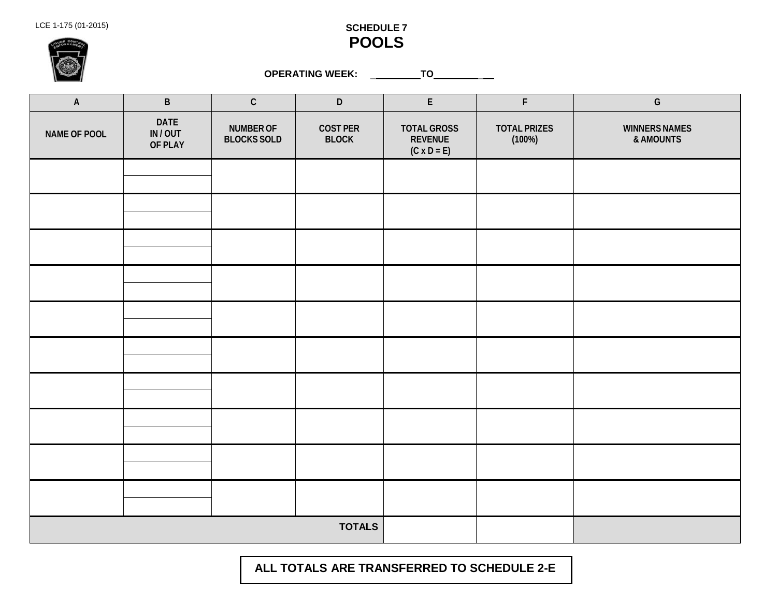

|                           | <b>OPERATING WEEK:</b><br>_TO_<br>$\mathbb{Z}^{(n)}$ |                                        |                                 |                                                            |                               |                                   |  |  |
|---------------------------|------------------------------------------------------|----------------------------------------|---------------------------------|------------------------------------------------------------|-------------------------------|-----------------------------------|--|--|
| $\boldsymbol{\mathsf{A}}$ | $\sf B$                                              | $\mathsf C$                            | $\mathsf D$                     | ${\sf E}$                                                  | $\mathsf F$                   | ${\mathsf G}$                     |  |  |
| NAME OF POOL              | <b>DATE</b><br>IN/OUT<br>OF PLAY                     | <b>NUMBER OF</b><br><b>BLOCKS SOLD</b> | <b>COST PER</b><br><b>BLOCK</b> | <b>TOTAL GROSS</b><br><b>REVENUE</b><br>$(C \times D = E)$ | <b>TOTAL PRIZES</b><br>(100%) | <b>WINNERS NAMES</b><br>& AMOUNTS |  |  |
|                           |                                                      |                                        |                                 |                                                            |                               |                                   |  |  |
|                           |                                                      |                                        |                                 |                                                            |                               |                                   |  |  |
|                           |                                                      |                                        |                                 |                                                            |                               |                                   |  |  |
|                           |                                                      |                                        |                                 |                                                            |                               |                                   |  |  |
|                           |                                                      |                                        |                                 |                                                            |                               |                                   |  |  |
|                           |                                                      |                                        |                                 |                                                            |                               |                                   |  |  |
|                           |                                                      |                                        |                                 |                                                            |                               |                                   |  |  |
|                           |                                                      |                                        |                                 |                                                            |                               |                                   |  |  |
|                           |                                                      |                                        |                                 |                                                            |                               |                                   |  |  |
|                           |                                                      |                                        |                                 |                                                            |                               |                                   |  |  |
|                           |                                                      |                                        | <b>TOTALS</b>                   |                                                            |                               |                                   |  |  |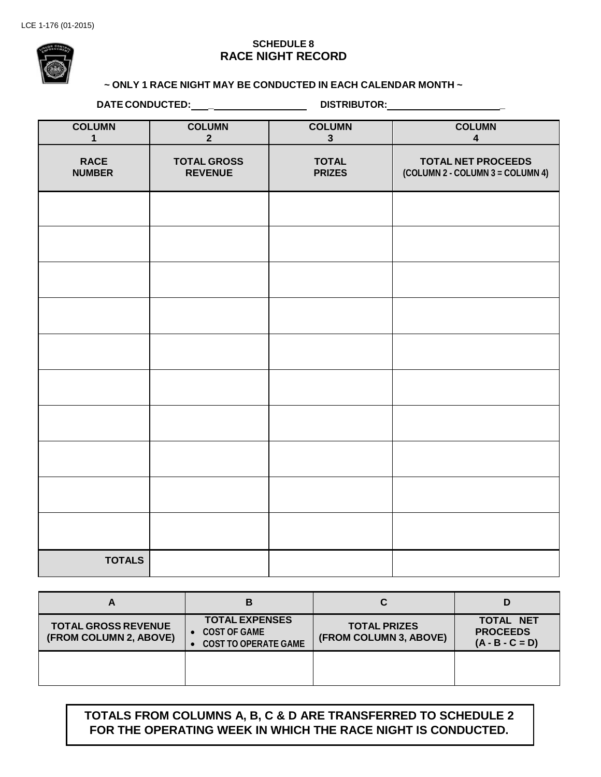#### **SCHEDULE 8 RACE NIGHT RECORD**

# **DATE ~ ONLY 1 RACE NIGHT MAY BE CONDUCTED IN EACH CALENDAR MONTH ~**

**DATE CONDUCTED: \_ DISTRIBUTOR: \_**

| <b>COLUMN</b><br>$\mathbf{1}$ | <b>COLUMN</b><br>2 <sup>1</sup>      | <b>COLUMN</b><br>$\mathbf{3}$ | <b>COLUMN</b><br>$\overline{\mathbf{4}}$                      |
|-------------------------------|--------------------------------------|-------------------------------|---------------------------------------------------------------|
| <b>RACE</b><br><b>NUMBER</b>  | <b>TOTAL GROSS</b><br><b>REVENUE</b> | <b>TOTAL</b><br><b>PRIZES</b> | <b>TOTAL NET PROCEEDS</b><br>(COLUMN 2 - COLUMN 3 = COLUMN 4) |
|                               |                                      |                               |                                                               |
|                               |                                      |                               |                                                               |
|                               |                                      |                               |                                                               |
|                               |                                      |                               |                                                               |
|                               |                                      |                               |                                                               |
|                               |                                      |                               |                                                               |
|                               |                                      |                               |                                                               |
|                               |                                      |                               |                                                               |
|                               |                                      |                               |                                                               |
|                               |                                      |                               |                                                               |
| <b>TOTALS</b>                 |                                      |                               |                                                               |

| A                                                    | В                                                                    |                                               |                                                          |
|------------------------------------------------------|----------------------------------------------------------------------|-----------------------------------------------|----------------------------------------------------------|
| <b>TOTAL GROSS REVENUE</b><br>(FROM COLUMN 2, ABOVE) | <b>TOTAL EXPENSES</b><br>COST OF GAME<br><b>COST TO OPERATE GAME</b> | <b>TOTAL PRIZES</b><br>(FROM COLUMN 3, ABOVE) | <b>TOTAL NET</b><br><b>PROCEEDS</b><br>$(A - B - C = D)$ |
|                                                      |                                                                      |                                               |                                                          |

## **TOTALS FROM COLUMNS A, B, C & D ARE TRANSFERRED TO SCHEDULE 2 FOR THE OPERATING WEEK IN WHICH THE RACE NIGHT IS CONDUCTED.**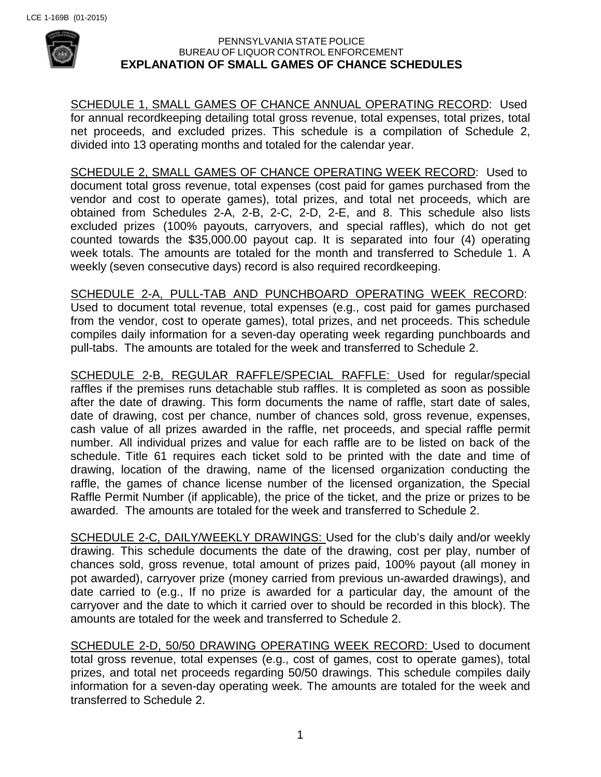

#### PENNSYLVANIA STATE POLICE BUREAU OF LIQUOR CONTROL ENFORCEMENT **EXPLANATION OF SMALL GAMES OF CHANCE SCHEDULES**

SCHEDULE 1, SMALL GAMES OF CHANCE ANNUAL OPERATING RECORD: Used for annual recordkeeping detailing total gross revenue, total expenses, total prizes, total net proceeds, and excluded prizes. This schedule is a compilation of Schedule 2, divided into 13 operating months and totaled for the calendar year.

SCHEDULE 2, SMALL GAMES OF CHANCE OPERATING WEEK RECORD: Used to document total gross revenue, total expenses (cost paid for games purchased from the vendor and cost to operate games), total prizes, and total net proceeds, which are obtained from Schedules 2-A, 2-B, 2-C, 2-D, 2-E, and 8. This schedule also lists excluded prizes (100% payouts, carryovers, and special raffles), which do not get counted towards the \$35,000.00 payout cap. It is separated into four (4) operating week totals. The amounts are totaled for the month and transferred to Schedule 1. A weekly (seven consecutive days) record is also required recordkeeping.

SCHEDULE 2-A, PULL-TAB AND PUNCHBOARD OPERATING WEEK RECORD: Used to document total revenue, total expenses (e.g., cost paid for games purchased from the vendor, cost to operate games), total prizes, and net proceeds. This schedule compiles daily information for a seven-day operating week regarding punchboards and pull-tabs. The amounts are totaled for the week and transferred to Schedule 2.

SCHEDULE 2-B, REGULAR RAFFLE/SPECIAL RAFFLE: Used for regular/special raffles if the premises runs detachable stub raffles. It is completed as soon as possible after the date of drawing. This form documents the name of raffle, start date of sales, date of drawing, cost per chance, number of chances sold, gross revenue, expenses, cash value of all prizes awarded in the raffle, net proceeds, and special raffle permit number. All individual prizes and value for each raffle are to be listed on back of the schedule. Title 61 requires each ticket sold to be printed with the date and time of drawing, location of the drawing, name of the licensed organization conducting the raffle, the games of chance license number of the licensed organization, the Special Raffle Permit Number (if applicable), the price of the ticket, and the prize or prizes to be awarded. The amounts are totaled for the week and transferred to Schedule 2.

SCHEDULE 2-C, DAILY/WEEKLY DRAWINGS: Used for the club's daily and/or weekly drawing. This schedule documents the date of the drawing, cost per play, number of chances sold, gross revenue, total amount of prizes paid, 100% payout (all money in pot awarded), carryover prize (money carried from previous un-awarded drawings), and date carried to (e.g., If no prize is awarded for a particular day, the amount of the carryover and the date to which it carried over to should be recorded in this block). The amounts are totaled for the week and transferred to Schedule 2.

SCHEDULE 2-D, 50/50 DRAWING OPERATING WEEK RECORD: Used to document total gross revenue, total expenses (e.g., cost of games, cost to operate games), total prizes, and total net proceeds regarding 50/50 drawings. This schedule compiles daily information for a seven-day operating week. The amounts are totaled for the week and transferred to Schedule 2.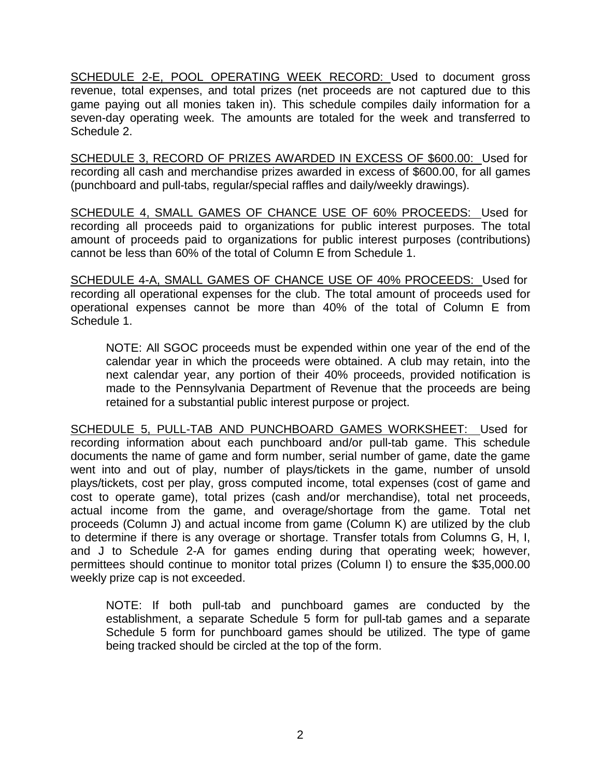SCHEDULE 2-E, POOL OPERATING WEEK RECORD: Used to document gross revenue, total expenses, and total prizes (net proceeds are not captured due to this game paying out all monies taken in). This schedule compiles daily information for a seven-day operating week. The amounts are totaled for the week and transferred to Schedule 2.

SCHEDULE 3, RECORD OF PRIZES AWARDED IN EXCESS OF \$600.00: Used for recording all cash and merchandise prizes awarded in excess of \$600.00, for all games (punchboard and pull-tabs, regular/special raffles and daily/weekly drawings).

SCHEDULE 4, SMALL GAMES OF CHANCE USE OF 60% PROCEEDS: Used for recording all proceeds paid to organizations for public interest purposes. The total amount of proceeds paid to organizations for public interest purposes (contributions) cannot be less than 60% of the total of Column E from Schedule 1.

SCHEDULE 4-A, SMALL GAMES OF CHANCE USE OF 40% PROCEEDS: Used for recording all operational expenses for the club. The total amount of proceeds used for operational expenses cannot be more than 40% of the total of Column E from Schedule 1.

NOTE: All SGOC proceeds must be expended within one year of the end of the calendar year in which the proceeds were obtained. A club may retain, into the next calendar year, any portion of their 40% proceeds, provided notification is made to the Pennsylvania Department of Revenue that the proceeds are being retained for a substantial public interest purpose or project.

SCHEDULE 5, PULL-TAB AND PUNCHBOARD GAMES WORKSHEET: Used for recording information about each punchboard and/or pull-tab game. This schedule documents the name of game and form number, serial number of game, date the game went into and out of play, number of plays/tickets in the game, number of unsold plays/tickets, cost per play, gross computed income, total expenses (cost of game and cost to operate game), total prizes (cash and/or merchandise), total net proceeds, actual income from the game, and overage/shortage from the game. Total net proceeds (Column J) and actual income from game (Column K) are utilized by the club to determine if there is any overage or shortage. Transfer totals from Columns G, H, I, and J to Schedule 2-A for games ending during that operating week; however, permittees should continue to monitor total prizes (Column I) to ensure the \$35,000.00 weekly prize cap is not exceeded.

NOTE: If both pull-tab and punchboard games are conducted by the establishment, a separate Schedule 5 form for pull-tab games and a separate Schedule 5 form for punchboard games should be utilized. The type of game being tracked should be circled at the top of the form.